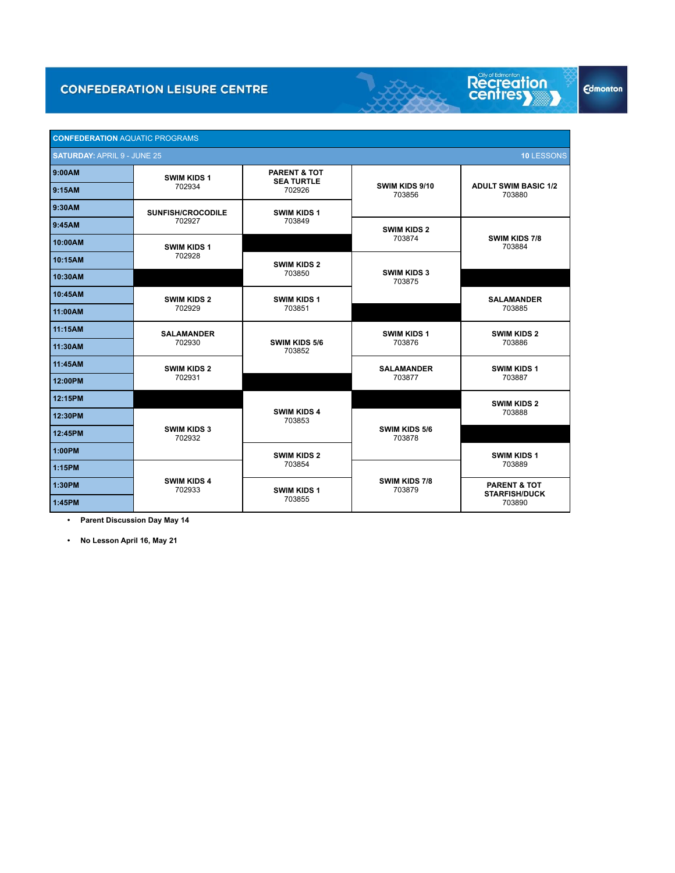

Recreation

**Edmonton** 

 **• Parent Discussion Day May 14**

 **• No Lesson April 16, May 21**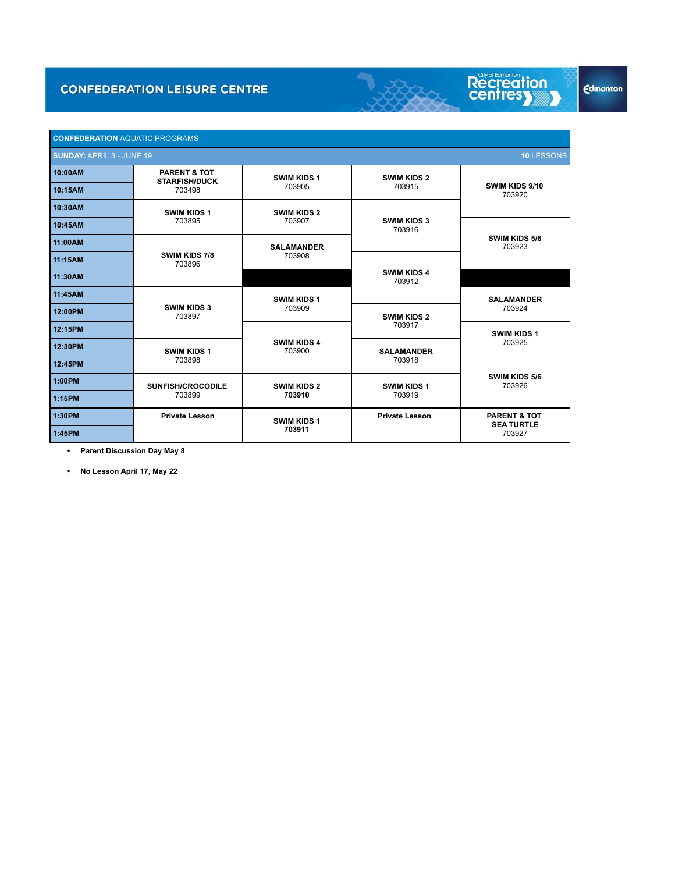

 **• Parent Discussion Day May 8**

 **• No Lesson April 17, May 22**

**Edmonton**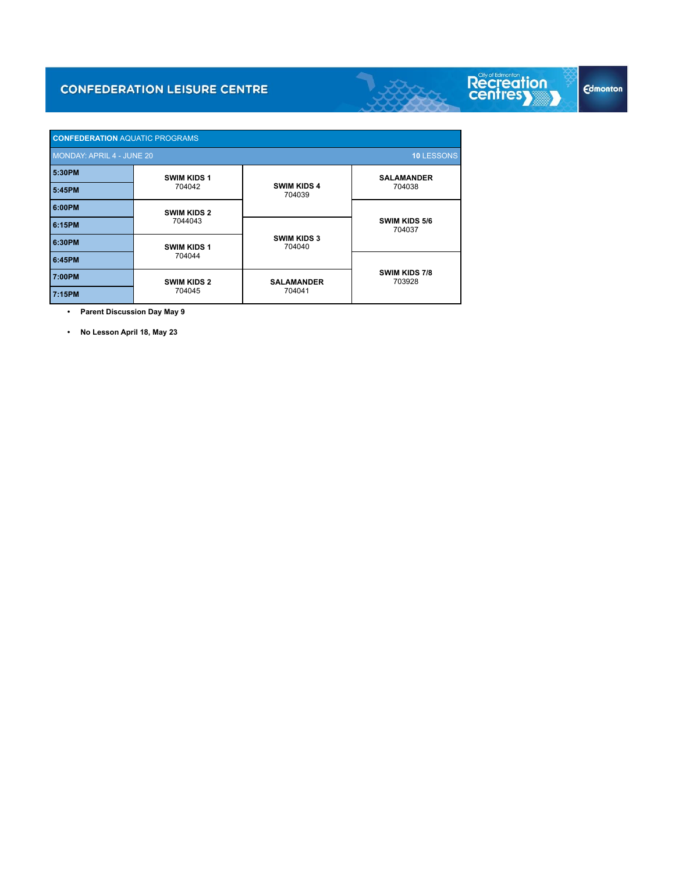

 **• Parent Discussion Day May 9**

 **• No Lesson April 18, May 23**

Л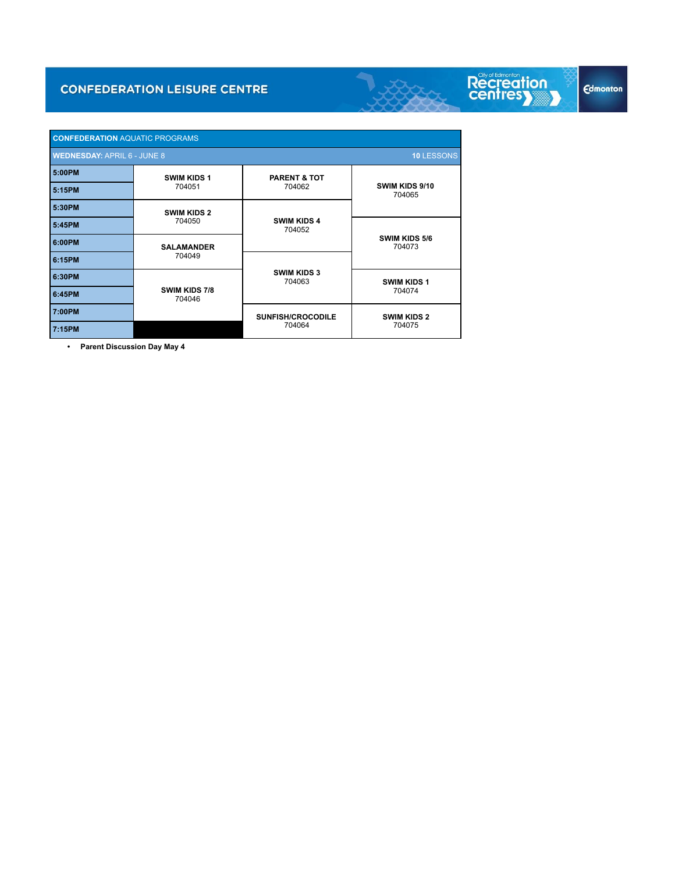| <b>CONFEDERATION AQUATIC PROGRAMS</b>            |                              |                                    |                              |  |
|--------------------------------------------------|------------------------------|------------------------------------|------------------------------|--|
| 10 LESSONS<br><b>WEDNESDAY: APRIL 6 - JUNE 8</b> |                              |                                    |                              |  |
| 5:00PM                                           | <b>SWIM KIDS 1</b>           | <b>PARENT &amp; TOT</b>            |                              |  |
| 5:15PM                                           | 704051                       | 704062                             | SWIM KIDS 9/10<br>704065     |  |
| 5:30PM                                           | <b>SWIM KIDS 2</b><br>704050 | <b>SWIM KIDS 4</b><br>704052       |                              |  |
| 5:45PM                                           |                              |                                    | SWIM KIDS 5/6<br>704073      |  |
| 6:00PM                                           | <b>SALAMANDER</b><br>704049  |                                    |                              |  |
| 6:15PM                                           |                              | <b>SWIM KIDS 3</b><br>704063       |                              |  |
| 6:30PM                                           | SWIM KIDS 7/8<br>704046      |                                    | <b>SWIM KIDS 1</b><br>704074 |  |
| 6:45PM                                           |                              |                                    |                              |  |
| 7:00PM                                           |                              | <b>SUNFISH/CROCODILE</b><br>704064 | <b>SWIM KIDS 2</b><br>704075 |  |
| 7:15PM                                           |                              |                                    |                              |  |

 **• Parent Discussion Day May 4**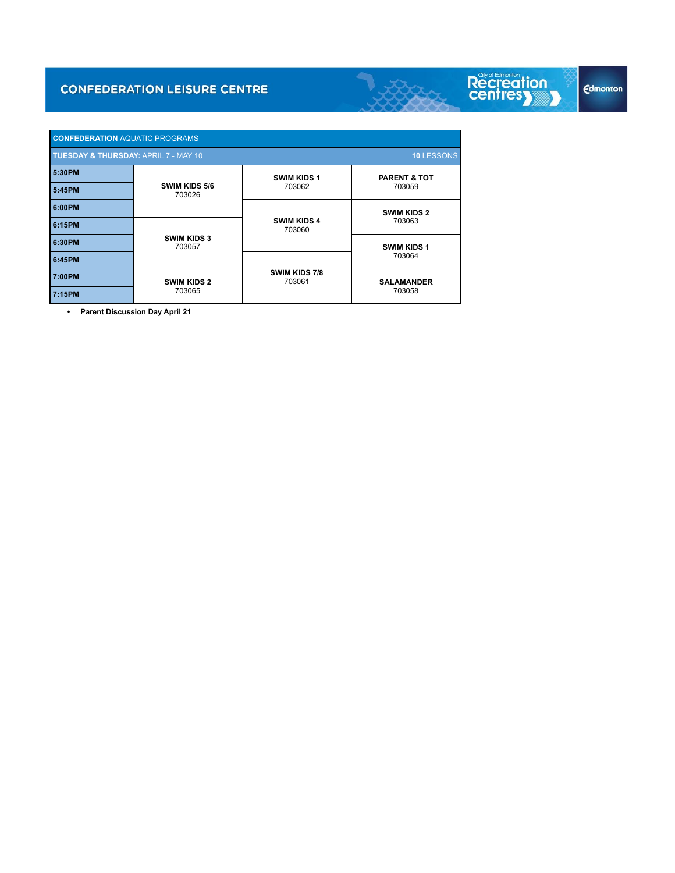| <b>CONFEDERATION AQUATIC PROGRAMS</b>                                |                              |                              |                                   |  |  |  |
|----------------------------------------------------------------------|------------------------------|------------------------------|-----------------------------------|--|--|--|
| <b>TUESDAY &amp; THURSDAY: APRIL 7 - MAY 10</b><br><b>10 LESSONS</b> |                              |                              |                                   |  |  |  |
| 5:30PM                                                               | SWIM KIDS 5/6<br>703026      | <b>SWIM KIDS 1</b><br>703062 | <b>PARENT &amp; TOT</b><br>703059 |  |  |  |
| 5:45PM                                                               |                              |                              |                                   |  |  |  |
| 6:00PM                                                               |                              | <b>SWIM KIDS 4</b><br>703060 | <b>SWIM KIDS 2</b><br>703063      |  |  |  |
| 6:15PM                                                               | <b>SWIM KIDS 3</b><br>703057 |                              |                                   |  |  |  |
| 6:30PM                                                               |                              |                              | <b>SWIM KIDS 1</b><br>703064      |  |  |  |
| 6:45PM                                                               |                              | SWIM KIDS 7/8<br>703061      |                                   |  |  |  |
| 7:00PM                                                               | <b>SWIM KIDS 2</b><br>703065 |                              | <b>SALAMANDER</b><br>703058       |  |  |  |
| 7:15PM                                                               |                              |                              |                                   |  |  |  |

 **• Parent Discussion Day April 21**